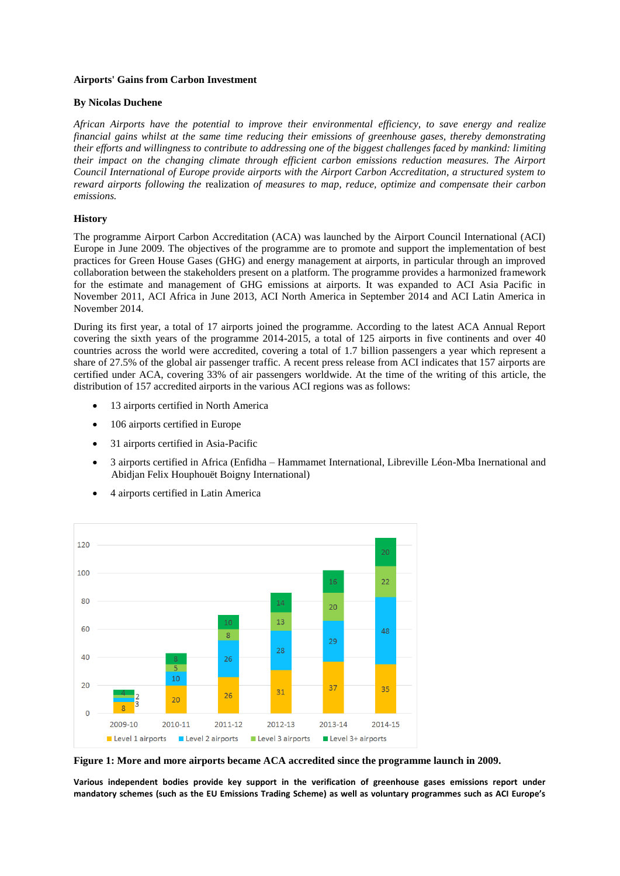## **Airports' Gains from Carbon Investment**

## **By Nicolas Duchene**

*African Airports have the potential to improve their environmental efficiency, to save energy and realize financial gains whilst at the same time reducing their emissions of greenhouse gases, thereby demonstrating their efforts and willingness to contribute to addressing one of the biggest challenges faced by mankind: limiting their impact on the changing climate through efficient carbon emissions reduction measures. The Airport Council International of Europe provide airports with the Airport Carbon Accreditation, a structured system to reward airports following the* realization *of measures to map, reduce, optimize and compensate their carbon emissions.*

## **History**

The programme Airport Carbon Accreditation (ACA) was launched by the Airport Council International (ACI) Europe in June 2009. The objectives of the programme are to promote and support the implementation of best practices for Green House Gases (GHG) and energy management at airports, in particular through an improved collaboration between the stakeholders present on a platform. The programme provides a harmonized framework for the estimate and management of GHG emissions at airports. It was expanded to ACI Asia Pacific in November 2011, ACI Africa in June 2013, ACI North America in September 2014 and ACI Latin America in November 2014.

During its first year, a total of 17 airports joined the programme. According to the latest ACA Annual Report covering the sixth years of the programme 2014-2015, a total of 125 airports in five continents and over 40 countries across the world were accredited, covering a total of 1.7 billion passengers a year which represent a share of 27.5% of the global air passenger traffic. A recent press release from ACI indicates that 157 airports are certified under ACA, covering 33% of air passengers worldwide. At the time of the writing of this article, the distribution of 157 accredited airports in the various ACI regions was as follows:

- 13 airports certified in North America
- 106 airports certified in Europe
- 31 airports certified in Asia-Pacific
- 3 airports certified in Africa (Enfidha Hammamet International, Libreville Léon-Mba Inernational and Abidjan Felix Houphouët Boigny International)
- 4 airports certified in Latin America



**Figure 1: More and more airports became ACA accredited since the programme launch in 2009.**

**Various independent bodies provide key support in the verification of greenhouse gases emissions report under mandatory schemes (such as the EU Emissions Trading Scheme) as well as voluntary programmes such as ACI Europe's**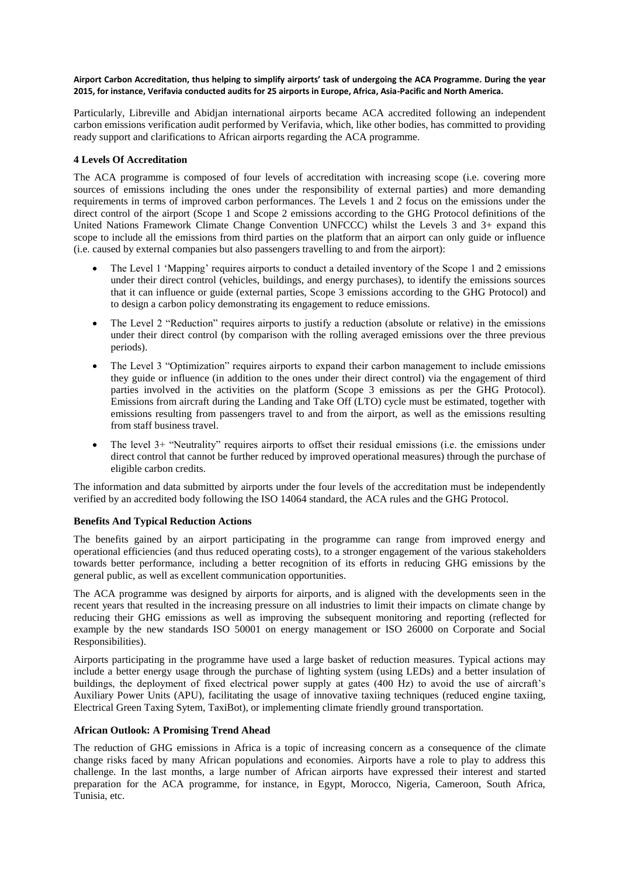#### **Airport Carbon Accreditation, thus helping to simplify airports' task of undergoing the ACA Programme. During the year 2015, for instance, Verifavia conducted audits for 25 airports in Europe, Africa, Asia-Pacific and North America.**

Particularly, Libreville and Abidjan international airports became ACA accredited following an independent carbon emissions verification audit performed by Verifavia, which, like other bodies, has committed to providing ready support and clarifications to African airports regarding the ACA programme.

# **4 Levels Of Accreditation**

The ACA programme is composed of four levels of accreditation with increasing scope (i.e. covering more sources of emissions including the ones under the responsibility of external parties) and more demanding requirements in terms of improved carbon performances. The Levels 1 and 2 focus on the emissions under the direct control of the airport (Scope 1 and Scope 2 emissions according to the GHG Protocol definitions of the United Nations Framework Climate Change Convention UNFCCC) whilst the Levels 3 and 3+ expand this scope to include all the emissions from third parties on the platform that an airport can only guide or influence (i.e. caused by external companies but also passengers travelling to and from the airport):

- The Level 1 'Mapping' requires airports to conduct a detailed inventory of the Scope 1 and 2 emissions under their direct control (vehicles, buildings, and energy purchases), to identify the emissions sources that it can influence or guide (external parties, Scope 3 emissions according to the GHG Protocol) and to design a carbon policy demonstrating its engagement to reduce emissions.
- The Level 2 "Reduction" requires airports to justify a reduction (absolute or relative) in the emissions under their direct control (by comparison with the rolling averaged emissions over the three previous periods).
- The Level 3 "Optimization" requires airports to expand their carbon management to include emissions they guide or influence (in addition to the ones under their direct control) via the engagement of third parties involved in the activities on the platform (Scope 3 emissions as per the GHG Protocol). Emissions from aircraft during the Landing and Take Off (LTO) cycle must be estimated, together with emissions resulting from passengers travel to and from the airport, as well as the emissions resulting from staff business travel.
- The level 3+ "Neutrality" requires airports to offset their residual emissions (i.e. the emissions under direct control that cannot be further reduced by improved operational measures) through the purchase of eligible carbon credits.

The information and data submitted by airports under the four levels of the accreditation must be independently verified by an accredited body following the ISO 14064 standard, the ACA rules and the GHG Protocol.

## **Benefits And Typical Reduction Actions**

The benefits gained by an airport participating in the programme can range from improved energy and operational efficiencies (and thus reduced operating costs), to a stronger engagement of the various stakeholders towards better performance, including a better recognition of its efforts in reducing GHG emissions by the general public, as well as excellent communication opportunities.

The ACA programme was designed by airports for airports, and is aligned with the developments seen in the recent years that resulted in the increasing pressure on all industries to limit their impacts on climate change by reducing their GHG emissions as well as improving the subsequent monitoring and reporting (reflected for example by the new standards ISO 50001 on energy management or ISO 26000 on Corporate and Social Responsibilities).

Airports participating in the programme have used a large basket of reduction measures. Typical actions may include a better energy usage through the purchase of lighting system (using LEDs) and a better insulation of buildings, the deployment of fixed electrical power supply at gates (400 Hz) to avoid the use of aircraft's Auxiliary Power Units (APU), facilitating the usage of innovative taxiing techniques (reduced engine taxiing, Electrical Green Taxing Sytem, TaxiBot), or implementing climate friendly ground transportation.

## **African Outlook: A Promising Trend Ahead**

The reduction of GHG emissions in Africa is a topic of increasing concern as a consequence of the climate change risks faced by many African populations and economies. Airports have a role to play to address this challenge. In the last months, a large number of African airports have expressed their interest and started preparation for the ACA programme, for instance, in Egypt, Morocco, Nigeria, Cameroon, South Africa, Tunisia, etc.